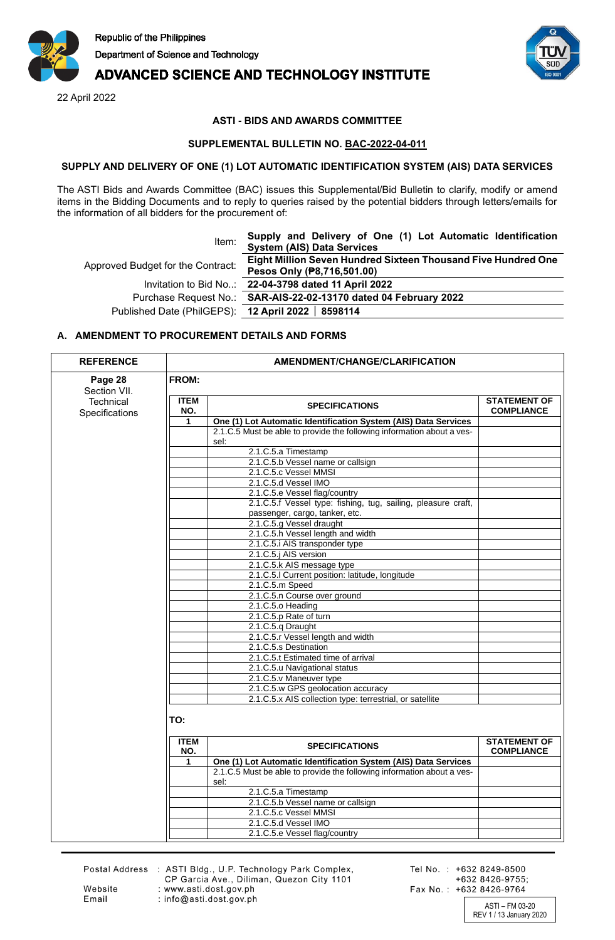

# **ADVANCED SCIENCE AND TECHNOLOGY INSTITUTE**

22 April 2022



## **ASTI - BIDS AND AWARDS COMMITTEE**

#### **SUPPLEMENTAL BULLETIN NO. BAC-2022-04-011**

#### **SUPPLY AND DELIVERY OF ONE (1) LOT AUTOMATIC IDENTIFICATION SYSTEM (AIS) DATA SERVICES**

The ASTI Bids and Awards Committee (BAC) issues this Supplemental/Bid Bulletin to clarify, modify or amend items in the Bidding Documents and to reply to queries raised by the potential bidders through letters/emails for the information of all bidders for the procurement of:

| Item:                                              | Supply and Delivery of One (1) Lot Automatic Identification<br><b>System (AIS) Data Services</b> |  |
|----------------------------------------------------|--------------------------------------------------------------------------------------------------|--|
| Approved Budget for the Contract:                  | Eight Million Seven Hundred Sixteen Thousand Five Hundred One<br>Pesos Only (P8,716,501.00)      |  |
|                                                    | Invitation to Bid No: 22-04-3798 dated 11 April 2022                                             |  |
|                                                    | Purchase Request No.: SAR-AIS-22-02-13170 dated 04 February 2022                                 |  |
| Published Date (PhilGEPS): 12 April 2022   8598114 |                                                                                                  |  |

### **A. AMENDMENT TO PROCUREMENT DETAILS AND FORMS**

| <b>REFERENCE</b>            | AMENDMENT/CHANGE/CLARIFICATION |                                                                                |                                          |  |
|-----------------------------|--------------------------------|--------------------------------------------------------------------------------|------------------------------------------|--|
| Page 28<br>Section VII.     | FROM:                          |                                                                                |                                          |  |
| Technical<br>Specifications | <b>ITEM</b><br>NO.             | <b>SPECIFICATIONS</b>                                                          | <b>STATEMENT OF</b><br><b>COMPLIANCE</b> |  |
|                             | $\mathbf{1}$                   | One (1) Lot Automatic Identification System (AIS) Data Services                |                                          |  |
|                             |                                | 2.1.C.5 Must be able to provide the following information about a ves-<br>sel: |                                          |  |
|                             |                                | 2.1.C.5.a Timestamp                                                            |                                          |  |
|                             |                                | 2.1.C.5.b Vessel name or callsign                                              |                                          |  |
|                             |                                | 2.1.C.5.c Vessel MMSI                                                          |                                          |  |
|                             |                                | 2.1.C.5.d Vessel IMO                                                           |                                          |  |
|                             |                                | 2.1.C.5.e Vessel flag/country                                                  |                                          |  |
|                             |                                | 2.1.C.5.f Vessel type: fishing, tug, sailing, pleasure craft,                  |                                          |  |
|                             |                                | passenger, cargo, tanker, etc.                                                 |                                          |  |
|                             |                                | 2.1.C.5.g Vessel draught                                                       |                                          |  |
|                             |                                | 2.1.C.5.h Vessel length and width                                              |                                          |  |
|                             |                                | 2.1.C.5.i AIS transponder type                                                 |                                          |  |
|                             |                                | 2.1.C.5.j AIS version                                                          |                                          |  |
|                             |                                | 2.1.C.5.k AIS message type                                                     |                                          |  |
|                             |                                | 2.1.C.5.I Current position: latitude, longitude                                |                                          |  |
|                             |                                | 2.1.C.5.m Speed                                                                |                                          |  |
|                             |                                | 2.1.C.5.n Course over ground                                                   |                                          |  |
|                             |                                | 2.1.C.5.o Heading                                                              |                                          |  |
|                             |                                | 2.1.C.5.p Rate of turn                                                         |                                          |  |
|                             |                                | 2.1.C.5.q Draught                                                              |                                          |  |
|                             |                                | 2.1.C.5.r Vessel length and width                                              |                                          |  |
|                             |                                | 2.1.C.5.s Destination                                                          |                                          |  |
|                             |                                | 2.1.C.5.t Estimated time of arrival                                            |                                          |  |
|                             |                                | 2.1.C.5.u Navigational status                                                  |                                          |  |
|                             |                                | 2.1.C.5.v Maneuver type                                                        |                                          |  |
|                             |                                | 2.1.C.5.w GPS geolocation accuracy                                             |                                          |  |
|                             |                                | 2.1.C.5.x AIS collection type: terrestrial, or satellite                       |                                          |  |
|                             | TO:                            |                                                                                |                                          |  |
|                             | <b>ITEM</b><br>NO.             | <b>SPECIFICATIONS</b>                                                          | <b>STATEMENT OF</b><br><b>COMPLIANCE</b> |  |
|                             | 1                              | One (1) Lot Automatic Identification System (AIS) Data Services                |                                          |  |
|                             |                                | 2.1.C.5 Must be able to provide the following information about a ves-<br>sel: |                                          |  |
|                             |                                | 2.1.C.5.a Timestamp                                                            |                                          |  |
|                             |                                | 2.1.C.5.b Vessel name or callsign                                              |                                          |  |
|                             |                                |                                                                                |                                          |  |
|                             |                                | 2.1.C.5.c Vessel MMSI                                                          |                                          |  |
|                             |                                | 2.1.C.5.d Vessel IMO<br>2.1.C.5.e Vessel flag/country                          |                                          |  |

Website

Email

Postal Address : ASTI Bldg., U.P. Technology Park Complex,<br>CP Garcia Ave., Diliman, Quezon City 1101 : www.asti.dost.gov.ph : info@asti.dost.gov.ph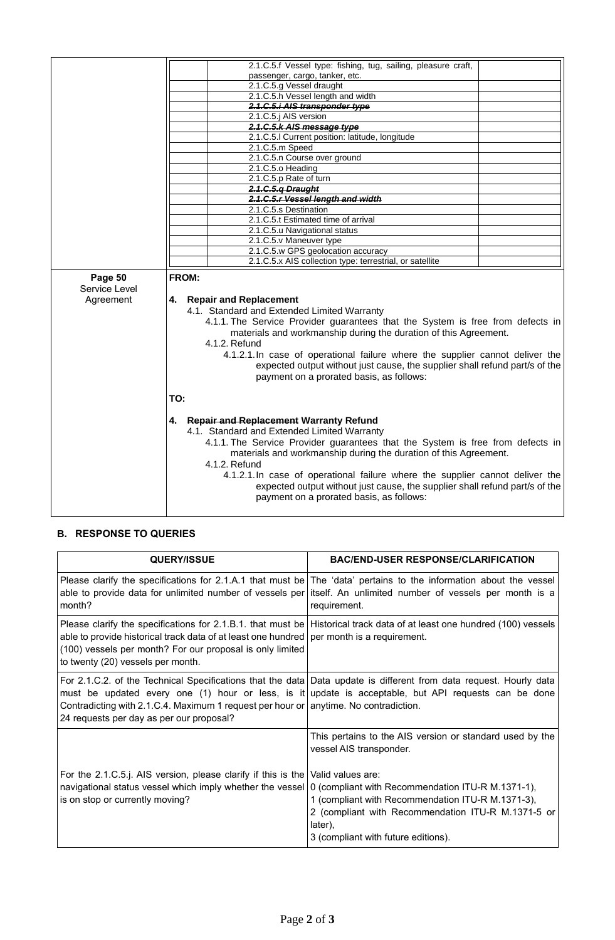|                          | 2.1.C.5.f Vessel type: fishing, tug, sailing, pleasure craft,                                                                 |  |  |  |
|--------------------------|-------------------------------------------------------------------------------------------------------------------------------|--|--|--|
|                          | passenger, cargo, tanker, etc.                                                                                                |  |  |  |
|                          | 2.1.C.5.g Vessel draught                                                                                                      |  |  |  |
|                          | 2.1.C.5.h Vessel length and width                                                                                             |  |  |  |
|                          | 2.1.C.5.i AIS transponder type                                                                                                |  |  |  |
|                          | 2.1.C.5.j AIS version                                                                                                         |  |  |  |
|                          | 2.1.C.5.k AIS message type                                                                                                    |  |  |  |
|                          | 2.1.C.5.I Current position: latitude, longitude                                                                               |  |  |  |
|                          | 2.1.C.5.m Speed                                                                                                               |  |  |  |
|                          | 2.1.C.5.n Course over ground                                                                                                  |  |  |  |
|                          | 2.1.C.5.o Heading                                                                                                             |  |  |  |
|                          | 2.1.C.5.p Rate of turn                                                                                                        |  |  |  |
|                          | 2.1.C.5.q Draught                                                                                                             |  |  |  |
|                          | 2.1.C.5.r Vessel length and width                                                                                             |  |  |  |
|                          | 2.1.C.5.s Destination                                                                                                         |  |  |  |
|                          | 2.1.C.5.t Estimated time of arrival                                                                                           |  |  |  |
|                          | 2.1.C.5.u Navigational status                                                                                                 |  |  |  |
|                          | 2.1.C.5.v Maneuver type                                                                                                       |  |  |  |
|                          | 2.1.C.5.w GPS geolocation accuracy                                                                                            |  |  |  |
|                          | 2.1.C.5.x AIS collection type: terrestrial, or satellite                                                                      |  |  |  |
| Page 50<br>Service Level | FROM:                                                                                                                         |  |  |  |
| Agreement                | <b>Repair and Replacement</b><br>4.                                                                                           |  |  |  |
|                          | 4.1. Standard and Extended Limited Warranty<br>4.1.1. The Service Provider guarantees that the System is free from defects in |  |  |  |
|                          |                                                                                                                               |  |  |  |
|                          | materials and workmanship during the duration of this Agreement.                                                              |  |  |  |
|                          | 4.1.2. Refund                                                                                                                 |  |  |  |
|                          | 4.1.2.1. In case of operational failure where the supplier cannot deliver the                                                 |  |  |  |
|                          |                                                                                                                               |  |  |  |
|                          | expected output without just cause, the supplier shall refund part/s of the                                                   |  |  |  |
|                          | payment on a prorated basis, as follows:                                                                                      |  |  |  |
|                          | TO:                                                                                                                           |  |  |  |
|                          |                                                                                                                               |  |  |  |
|                          |                                                                                                                               |  |  |  |
|                          | 4. Repair and Replacement Warranty Refund                                                                                     |  |  |  |
|                          | 4.1. Standard and Extended Limited Warranty                                                                                   |  |  |  |
|                          | 4.1.1. The Service Provider guarantees that the System is free from defects in                                                |  |  |  |
|                          | materials and workmanship during the duration of this Agreement.                                                              |  |  |  |
|                          | 4.1.2. Refund                                                                                                                 |  |  |  |
|                          | 4.1.2.1. In case of operational failure where the supplier cannot deliver the                                                 |  |  |  |
|                          | expected output without just cause, the supplier shall refund part/s of the                                                   |  |  |  |
|                          | payment on a prorated basis, as follows:                                                                                      |  |  |  |

# **B. RESPONSE TO QUERIES**

| <b>QUERY/ISSUE</b>                                                                                                                                                                              | <b>BAC/END-USER RESPONSE/CLARIFICATION</b>                                                                                                                                                                                 |
|-------------------------------------------------------------------------------------------------------------------------------------------------------------------------------------------------|----------------------------------------------------------------------------------------------------------------------------------------------------------------------------------------------------------------------------|
| able to provide data for unlimited number of vessels per<br>month?                                                                                                                              | Please clarify the specifications for 2.1.A.1 that must be The 'data' pertains to the information about the vessel<br>itself. An unlimited number of vessels per month is a<br>requirement.                                |
| able to provide historical track data of at least one hundred $ $ per month is a requirement.<br>(100) vessels per month? For our proposal is only limited<br>to twenty (20) vessels per month. | Please clarify the specifications for 2.1.B.1. that must be Historical track data of at least one hundred (100) vessels                                                                                                    |
| Contradicting with 2.1.C.4. Maximum 1 request per hour or anytime. No contradiction.<br>24 requests per day as per our proposal?                                                                | For 2.1.C.2. of the Technical Specifications that the data Data update is different from data request. Hourly data<br>must be updated every one (1) hour or less, is it update is acceptable, but API requests can be done |
|                                                                                                                                                                                                 | This pertains to the AIS version or standard used by the<br>vessel AIS transponder.                                                                                                                                        |
| For the 2.1.C.5.j. AIS version, please clarify if this is the                                                                                                                                   | Valid values are:                                                                                                                                                                                                          |
| navigational status vessel which imply whether the vessel                                                                                                                                       | 0 (compliant with Recommendation ITU-R M.1371-1),                                                                                                                                                                          |
| is on stop or currently moving?                                                                                                                                                                 | 1 (compliant with Recommendation ITU-R M.1371-3),                                                                                                                                                                          |
|                                                                                                                                                                                                 | 2 (compliant with Recommendation ITU-R M.1371-5 or<br>later),                                                                                                                                                              |
|                                                                                                                                                                                                 | 3 (compliant with future editions).                                                                                                                                                                                        |